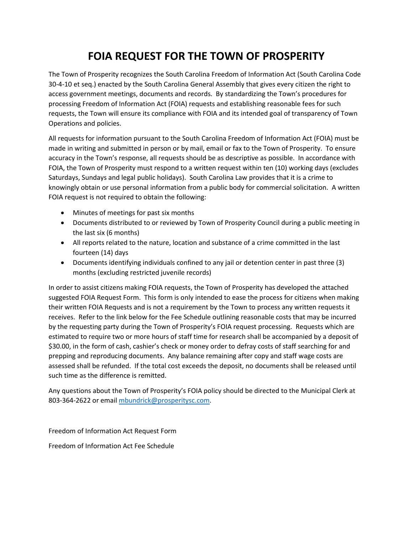## **FOIA REQUEST FOR THE TOWN OF PROSPERITY**

The Town of Prosperity recognizes the South Carolina Freedom of Information Act (South Carolina Code 30-4-10 et seq.) enacted by the South Carolina General Assembly that gives every citizen the right to access government meetings, documents and records. By standardizing the Town's procedures for processing Freedom of Information Act (FOIA) requests and establishing reasonable fees for such requests, the Town will ensure its compliance with FOIA and its intended goal of transparency of Town Operations and policies.

All requests for information pursuant to the South Carolina Freedom of Information Act (FOIA) must be made in writing and submitted in person or by mail, email or fax to the Town of Prosperity. To ensure accuracy in the Town's response, all requests should be as descriptive as possible. In accordance with FOIA, the Town of Prosperity must respond to a written request within ten (10) working days (excludes Saturdays, Sundays and legal public holidays). South Carolina Law provides that it is a crime to knowingly obtain or use personal information from a public body for commercial solicitation. A written FOIA request is not required to obtain the following:

- Minutes of meetings for past six months
- Documents distributed to or reviewed by Town of Prosperity Council during a public meeting in the last six (6 months)
- All reports related to the nature, location and substance of a crime committed in the last fourteen (14) days
- Documents identifying individuals confined to any jail or detention center in past three (3) months (excluding restricted juvenile records)

In order to assist citizens making FOIA requests, the Town of Prosperity has developed the attached suggested FOIA Request Form. This form is only intended to ease the process for citizens when making their written FOIA Requests and is not a requirement by the Town to process any written requests it receives. Refer to the link below for the Fee Schedule outlining reasonable costs that may be incurred by the requesting party during the Town of Prosperity's FOIA request processing. Requests which are estimated to require two or more hours of staff time for research shall be accompanied by a deposit of \$30.00, in the form of cash, cashier's check or money order to defray costs of staff searching for and prepping and reproducing documents. Any balance remaining after copy and staff wage costs are assessed shall be refunded. If the total cost exceeds the deposit, no documents shall be released until such time as the difference is remitted.

Any questions about the Town of Prosperity's FOIA policy should be directed to the Municipal Clerk at 803-364-2622 or email [mbundrick@prosperitysc.com.](mailto:mbundrick@prosperitysc.com)

Freedom of Information Act Request Form

Freedom of Information Act Fee Schedule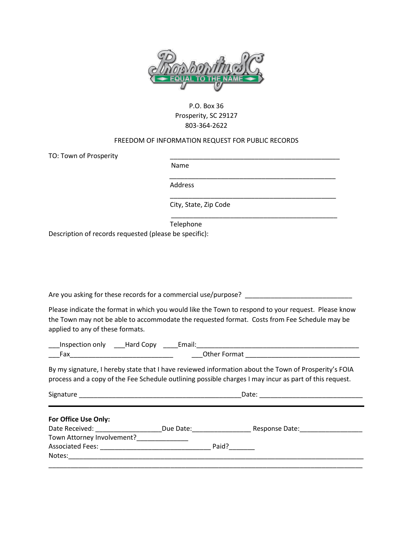

## P.O. Box 36 Prosperity, SC 29127 803-364-2622

## FREEDOM OF INFORMATION REQUEST FOR PUBLIC RECORDS

 $\overline{\phantom{a}}$  ,  $\overline{\phantom{a}}$  ,  $\overline{\phantom{a}}$  ,  $\overline{\phantom{a}}$  ,  $\overline{\phantom{a}}$  ,  $\overline{\phantom{a}}$  ,  $\overline{\phantom{a}}$  ,  $\overline{\phantom{a}}$  ,  $\overline{\phantom{a}}$  ,  $\overline{\phantom{a}}$  ,  $\overline{\phantom{a}}$  ,  $\overline{\phantom{a}}$  ,  $\overline{\phantom{a}}$  ,  $\overline{\phantom{a}}$  ,  $\overline{\phantom{a}}$  ,  $\overline{\phantom{a}}$ 

\_\_\_\_\_\_\_\_\_\_\_\_\_\_\_\_\_\_\_\_\_\_\_\_\_\_\_\_\_\_\_\_\_\_\_\_\_\_\_\_\_\_\_\_\_

TO: Town of Prosperity

Name

Address

City, State, Zip Code

Telephone

\_\_\_\_\_\_\_\_\_\_\_\_\_\_\_\_\_\_\_\_\_\_\_\_\_\_\_\_\_\_\_\_\_\_\_\_\_\_\_\_\_\_\_\_\_

Description of records requested (please be specific):

Are you asking for these records for a commercial use/purpose?

Please indicate the format in which you would like the Town to respond to your request. Please know the Town may not be able to accommodate the requested format. Costs from Fee Schedule may be applied to any of these formats.

\_\_\_Inspection only \_\_\_Hard Copy \_\_\_\_Email:\_\_\_\_\_\_\_\_\_\_\_\_\_\_\_\_\_\_\_\_\_\_\_\_\_\_\_\_\_\_\_\_\_\_\_\_\_\_\_\_\_\_\_\_ \_\_\_Fax\_\_\_\_\_\_\_\_\_\_\_\_\_\_\_\_\_\_\_\_\_\_\_\_\_\_\_\_ \_\_\_Other Format \_\_\_\_\_\_\_\_\_\_\_\_\_\_\_\_\_\_\_\_\_\_\_\_\_\_\_\_\_\_\_

By my signature, I hereby state that I have reviewed information about the Town of Prosperity's FOIA process and a copy of the Fee Schedule outlining possible charges I may incur as part of this request.

| Signature<br><u> 1980 - John Stone, Amerikaansk politiker († 1901)</u> | Date:     |       |                |
|------------------------------------------------------------------------|-----------|-------|----------------|
| For Office Use Only:<br>Date Received:                                 | Due Date: |       | Response Date: |
| Town Attorney Involvement?                                             |           |       |                |
|                                                                        |           | Paid? |                |
| Notes:                                                                 |           |       |                |
|                                                                        |           |       |                |